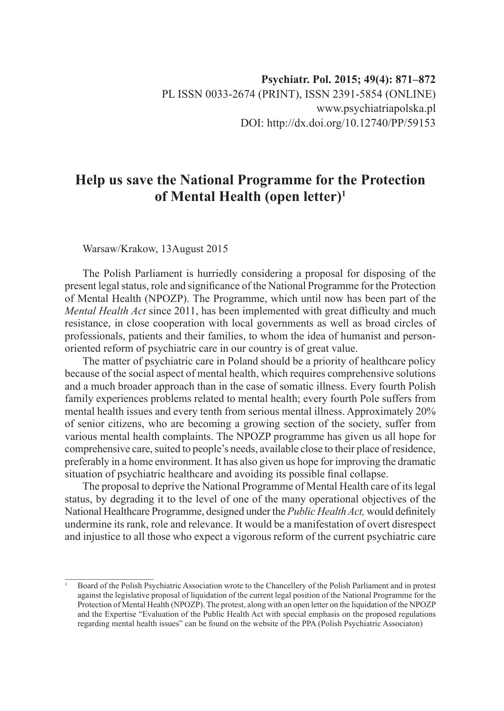## **Help us save the National Programme for the Protection of Mental Health (open letter)1**

Warsaw/Krakow, 13August 2015

The Polish Parliament is hurriedly considering a proposal for disposing of the present legal status, role and significance of the National Programme for the Protection of Mental Health (NPOZP). The Programme, which until now has been part of the *Mental Health Act* since 2011, has been implemented with great difficulty and much resistance, in close cooperation with local governments as well as broad circles of professionals, patients and their families, to whom the idea of humanist and personoriented reform of psychiatric care in our country is of great value.

The matter of psychiatric care in Poland should be a priority of healthcare policy because of the social aspect of mental health, which requires comprehensive solutions and a much broader approach than in the case of somatic illness. Every fourth Polish family experiences problems related to mental health; every fourth Pole suffers from mental health issues and every tenth from serious mental illness. Approximately 20% of senior citizens, who are becoming a growing section of the society, suffer from various mental health complaints. The NPOZP programme has given us all hope for comprehensive care, suited to people's needs, available close to their place of residence, preferably in a home environment. It has also given us hope for improving the dramatic situation of psychiatric healthcare and avoiding its possible final collapse.

The proposal to deprive the National Programme of Mental Health care of its legal status, by degrading it to the level of one of the many operational objectives of the National Healthcare Programme, designed under the *Public Health Act,* would definitely undermine its rank, role and relevance. It would be a manifestation of overt disrespect and injustice to all those who expect a vigorous reform of the current psychiatric care

<sup>1</sup> Board of the Polish Psychiatric Association wrote to the Chancellery of the Polish Parliament and in protest against the legislative proposal of liquidation of the current legal position of the National Programme for the Protection of Mental Health (NPOZP). The protest, along with an open letter on the liquidation of the NPOZP and the Expertise "Evaluation of the Public Health Act with special emphasis on the proposed regulations regarding mental health issues" can be found on the website of the PPA (Polish Psychiatric Associaton)